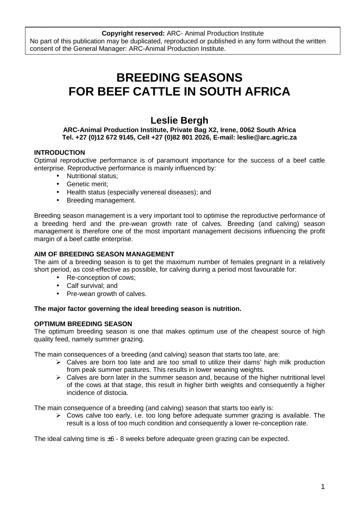# **BREEDING SEASONS FOR BEEF CATTLE IN SOUTH AFRICA**

# **Leslie Bergh**

#### **ARC-Animal Production Institute, Private Bag X2, Irene, 0062 South Africa Tel. +27 (0)12 672 9145, Cell +27 (0)82 801 2026, E-mail: leslie@arc.agric.za**

# **INTRODUCTION**

Optimal reproductive performance is of paramount importance for the success of a beef cattle enterprise. Reproductive performance is mainly influenced by:

- Nutritional status;
- Genetic merit;
- Health status (especially venereal diseases); and
- Breeding management.

Breeding season management is a very important tool to optimise the reproductive performance of a breeding herd and the pre-wean growth rate of calves. Breeding (and calving) season management is therefore one of the most important management decisions influencing the profit margin of a beef cattle enterprise.

#### **AIM OF BREEDING SEASON MANAGEMENT**

The aim of a breeding season is to get the maximum number of females pregnant in a relatively short period, as cost-effective as possible, for calving during a period most favourable for:

- Re-conception of cows:
- Calf survival; and
- Pre-wean growth of calves.

#### **The major factor governing the ideal breeding season is nutrition.**

#### **OPTIMUM BREEDING SEASON**

The optimum breeding season is one that makes optimum use of the cheapest source of high quality feed, namely summer grazing.

The main consequences of a breeding (and calving) season that starts too late, are:

- > Calves are born too late and are too small to utilize their dams' high milk production from peak summer pastures. This results in lower weaning weights.
- > Calves are born later in the summer season and, because of the higher nutritional level of the cows at that stage, this result in higher birth weights and consequently a higher incidence of distocia.

The main consequence of a breeding (and calving) season that starts too early is:

> Cows calve too early, i.e. too long before adequate summer grazing is available. The result is a loss of too much condition and consequently a lower re-conception rate.

The ideal calving time is  $\pm 6 - 8$  weeks before adequate green grazing can be expected.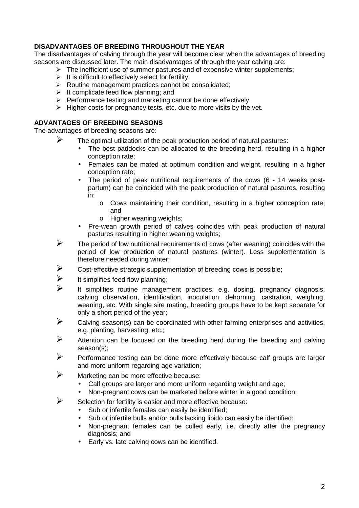# **DISADVANTAGES OF BREEDING THROUGHOUT THE YEAR**

The disadvantages of calving through the year will become clear when the advantages of breeding seasons are discussed later. The main disadvantages of through the year calving are:

- > The inefficient use of summer pastures and of expensive winter supplements;
- $\triangleright$  It is difficult to effectively select for fertility;
- > Routine management practices cannot be consolidated;
- > It complicate feed flow planning; and
- > Performance testing and marketing cannot be done effectively.
- $\triangleright$  Higher costs for pregnancy tests, etc. due to more visits by the vet.

### **ADVANTAGES OF BREEDING SEASONS**

The advantages of breeding seasons are:

- $\triangleright$  The optimal utilization of the peak production period of natural pastures:
	- The best paddocks can be allocated to the breeding herd, resulting in a higher conception rate;
	- Females can be mated at optimum condition and weight, resulting in a higher conception rate;
	- The period of peak nutritional requirements of the cows (6 14 weeks postpartum) can be coincided with the peak production of natural pastures, resulting in:
		- $\circ$  Cows maintaining their condition, resulting in a higher conception rate; and
		- o Higher weaning weights;
	- Pre-wean growth period of calves coincides with peak production of natural pastures resulting in higher weaning weights;
- $\triangleright$  The period of low nutritional requirements of cows (after weaning) coincides with the period of low production of natural pastures (winter). Less supplementation is therefore needed during winter;
- Cost-effective strategic supplementation of breeding cows is possible;
- It simplifies feed flow planning;
- It simplifies routine management practices, e.g. dosing, pregnancy diagnosis, calving observation, identification, inoculation, dehorning, castration, weighing, weaning, etc. With single sire mating, breeding groups have to be kept separate for only a short period of the year;
- $\triangleright$  Calving season(s) can be coordinated with other farming enterprises and activities, e.g. planting, harvesting, etc.;
- Attention can be focused on the breeding herd during the breeding and calving season(s);
- Performance testing can be done more effectively because calf groups are larger and more uniform regarding age variation;
- $\triangleright$  Marketing can be more effective because:
	- Calf groups are larger and more uniform regarding weight and age;
	- Non-pregnant cows can be marketed before winter in a good condition;
- $\triangleright$  Selection for fertility is easier and more effective because:
	- Sub or infertile females can easily be identified;
	- Sub or infertile bulls and/or bulls lacking libido can easily be identified;
	- Non-pregnant females can be culled early, i.e. directly after the pregnancy diagnosis; and
	- Early vs. late calving cows can be identified.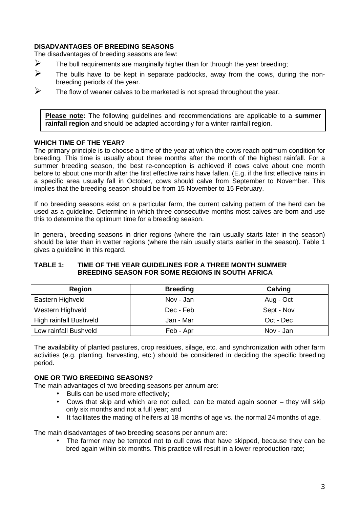### **DISADVANTAGES OF BREEDING SEASONS**

The disadvantages of breeding seasons are few:

- $\triangleright$  The bull requirements are marginally higher than for through the year breeding:
- $\triangleright$  The bulls have to be kept in separate paddocks, away from the cows, during the nonbreeding periods of the year.
- $\triangleright$  The flow of weaner calves to be marketed is not spread throughout the year.

**Please note:** The following guidelines and recommendations are applicable to a **summer rainfall region** and should be adapted accordingly for a winter rainfall region.

#### **WHICH TIME OF THE YEAR?**

The primary principle is to choose a time of the year at which the cows reach optimum condition for breeding. This time is usually about three months after the month of the highest rainfall. For a summer breeding season, the best re-conception is achieved if cows calve about one month before to about one month after the first effective rains have fallen. (E.g. if the first effective rains in a specific area usually fall in October, cows should calve from September to November. This implies that the breeding season should be from 15 November to 15 February.

If no breeding seasons exist on a particular farm, the current calving pattern of the herd can be used as a guideline. Determine in which three consecutive months most calves are born and use this to determine the optimum time for a breeding season.

In general, breeding seasons in drier regions (where the rain usually starts later in the season) should be later than in wetter regions (where the rain usually starts earlier in the season). Table 1 gives a guideline in this regard.

#### **TABLE 1: TIME OF THE YEAR GUIDELINES FOR A THREE MONTH SUMMER BREEDING SEASON FOR SOME REGIONS IN SOUTH AFRICA**

| <b>Region</b>          | <b>Breeding</b> | Calving    |
|------------------------|-----------------|------------|
| Eastern Highveld       | Nov - Jan       | Aug - Oct  |
| Western Highveld       | Dec - Feb       | Sept - Nov |
| High rainfall Bushveld | Jan - Mar       | Oct - Dec  |
| Low rainfall Bushveld  | Feb - Apr       | Nov - Jan  |

The availability of planted pastures, crop residues, silage, etc. and synchronization with other farm activities (e.g. planting, harvesting, etc.) should be considered in deciding the specific breeding period.

#### **ONE OR TWO BREEDING SEASONS?**

The main advantages of two breeding seasons per annum are:

- Bulls can be used more effectively;
- Cows that skip and which are not culled, can be mated again sooner they will skip only six months and not a full year; and
- It facilitates the mating of heifers at 18 months of age vs. the normal 24 months of age.

The main disadvantages of two breeding seasons per annum are:

The farmer may be tempted not to cull cows that have skipped, because they can be bred again within six months. This practice will result in a lower reproduction rate;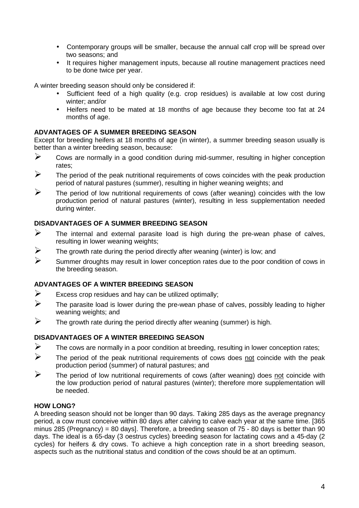- Contemporary groups will be smaller, because the annual calf crop will be spread over two seasons; and
- It requires higher management inputs, because all routine management practices need to be done twice per year.

A winter breeding season should only be considered if:

- Sufficient feed of a high quality (e.g. crop residues) is available at low cost during winter; and/or
- Heifers need to be mated at 18 months of age because they become too fat at 24 months of age.

### **ADVANTAGES OF A SUMMER BREEDING SEASON**

Except for breeding heifers at 18 months of age (in winter), a summer breeding season usually is better than a winter breeding season, because:

- $\triangleright$  Cows are normally in a good condition during mid-summer, resulting in higher conception rates;
- $\triangleright$  The period of the peak nutritional requirements of cows coincides with the peak production period of natural pastures (summer), resulting in higher weaning weights; and
- $\triangleright$  The period of low nutritional requirements of cows (after weaning) coincides with the low production period of natural pastures (winter), resulting in less supplementation needed during winter.

#### **DISADVANTAGES OF A SUMMER BREEDING SEASON**

- $\triangleright$  The internal and external parasite load is high during the pre-wean phase of calves, resulting in lower weaning weights;
- $\triangleright$  The growth rate during the period directly after weaning (winter) is low; and
- $\triangleright$  Summer droughts may result in lower conception rates due to the poor condition of cows in the breeding season.

### **ADVANTAGES OF A WINTER BREEDING SEASON**

- Excess crop residues and hay can be utilized optimally;
- $\triangleright$  The parasite load is lower during the pre-wean phase of calves, possibly leading to higher weaning weights; and
- $\triangleright$  The growth rate during the period directly after weaning (summer) is high.

### **DISADVANTAGES OF A WINTER BREEDING SEASON**

- $\triangleright$  The cows are normally in a poor condition at breeding, resulting in lower conception rates;
- $\triangleright$  The period of the peak nutritional requirements of cows does not coincide with the peak production period (summer) of natural pastures; and
- $\triangleright$  The period of low nutritional requirements of cows (after weaning) does not coincide with the low production period of natural pastures (winter); therefore more supplementation will be needed.

#### **HOW LONG?**

A breeding season should not be longer than 90 days. Taking 285 days as the average pregnancy period, a cow must conceive within 80 days after calving to calve each year at the same time. [365 minus 285 (Pregnancy) = 80 days]. Therefore, a breeding season of  $75 - 80$  days is better than 90 days. The ideal is a 65-day (3 oestrus cycles) breeding season for lactating cows and a 45-day (2 cycles) for heifers & dry cows. To achieve a high conception rate in a short breeding season, aspects such as the nutritional status and condition of the cows should be at an optimum.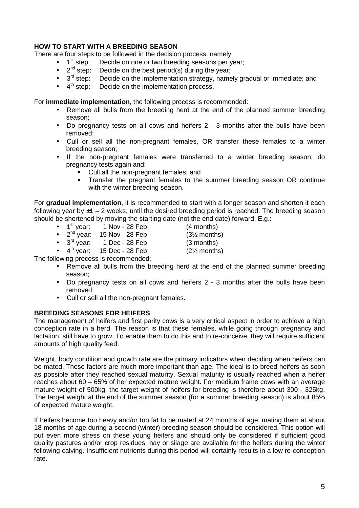### **HOW TO START WITH A BREEDING SEASON**

There are four steps to be followed in the decision process, namely:

- 1<sup>st</sup> step: Decide on one or two breeding seasons per year;<br>•  $2^{nd}$  step: Decide on the best period(s) during the year;
- $\bullet$   $2^{nd}$  step: Decide on the best period(s) during the year;
- $3<sup>rd</sup>$  step: Decide on the implementation strategy, namely gradual or immediate; and
- $4<sup>th</sup>$  step: Decide on the implementation process.

For **immediate implementation**, the following process is recommended:

- Remove all bulls from the breeding herd at the end of the planned summer breeding season;
- Do pregnancy tests on all cows and heifers 2 3 months after the bulls have been removed;
- Cull or sell all the non-pregnant females, OR transfer these females to a winter breeding season;
- If the non-pregnant females were transferred to a winter breeding season, do pregnancy tests again and:
	- Cull all the non-pregnant females; and
	- **Transfer the pregnant females to the summer breeding season OR continue** with the winter breeding season.

For **gradual implementation**, it is recommended to start with a longer season and shorten it each following year by  $\pm$ 1 – 2 weeks, until the desired breeding period is reached. The breeding season should be shortened by moving the starting date (not the end date) forward. E.g.:

- $1<sup>st</sup>$  year: 1 Nov 28 Feb  $(4$  months)
- $2^{nd}$  year: 15 Nov 28 Feb  $(3\frac{1}{2}$  months)<br>•  $3^{rd}$  year: 1 Dec 28 Feb  $(3 \text{ months})$
- 

•  $3^{\text{rd}}$  year: 1 Dec - 28 Feb (3 months)<br>• 4<sup>th</sup> year: 15 Dec - 28 Feb (2½ months)  $15$  Dec - 28 Feb  $(2\frac{1}{2}$  months)

The following process is recommended:

- Remove all bulls from the breeding herd at the end of the planned summer breeding season;
- Do pregnancy tests on all cows and heifers 2 3 months after the bulls have been removed;
- Cull or sell all the non-pregnant females.

#### **BREEDING SEASONS FOR HEIFERS**

The management of heifers and first parity cows is a very critical aspect in order to achieve a high conception rate in a herd. The reason is that these females, while going through pregnancy and lactation, still have to grow. To enable them to do this and to re-conceive, they will require sufficient amounts of high quality feed.

Weight, body condition and growth rate are the primary indicators when deciding when heifers can be mated. These factors are much more important than age. The ideal is to breed heifers as soon as possible after they reached sexual maturity. Sexual maturity is usually reached when a heifer reaches about 60 – 65% of her expected mature weight. For medium frame cows with an average mature weight of 500kg, the target weight of heifers for breeding is therefore about 300 - 325kg. The target weight at the end of the summer season (for a summer breeding season) is about 85% of expected mature weight.

If heifers become too heavy and/or too fat to be mated at 24 months of age, mating them at about 18 months of age during a second (winter) breeding season should be considered. This option will put even more stress on these young heifers and should only be considered if sufficient good quality pastures and/or crop residues, hay or silage are available for the heifers during the winter following calving. Insufficient nutrients during this period will certainly results in a low re-conception rate.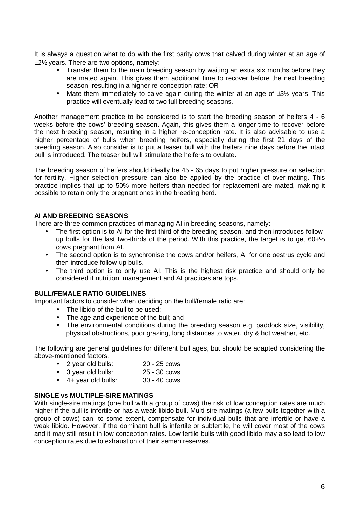It is always a question what to do with the first parity cows that calved during winter at an age of ±2½ years. There are two options, namely:

- Transfer them to the main breeding season by waiting an extra six months before they are mated again. This gives them additional time to recover before the next breeding season, resulting in a higher re-conception rate; OR
- Mate them immediately to calve again during the winter at an age of  $\pm 3\frac{1}{2}$  years. This practice will eventually lead to two full breeding seasons.

Another management practice to be considered is to start the breeding season of heifers 4 - 6 weeks before the cows' breeding season. Again, this gives them a longer time to recover before the next breeding season, resulting in a higher re-conception rate. It is also advisable to use a higher percentage of bulls when breeding heifers, especially during the first 21 days of the breeding season. Also consider is to put a teaser bull with the heifers nine days before the intact bull is introduced. The teaser bull will stimulate the heifers to ovulate.

The breeding season of heifers should ideally be 45 - 65 days to put higher pressure on selection for fertility. Higher selection pressure can also be applied by the practice of over-mating. This practice implies that up to 50% more heifers than needed for replacement are mated, making it possible to retain only the pregnant ones in the breeding herd.

#### **AI AND BREEDING SEASONS**

There are three common practices of managing AI in breeding seasons, namely:

- The first option is to AI for the first third of the breeding season, and then introduces followup bulls for the last two-thirds of the period. With this practice, the target is to get 60+% cows pregnant from AI.
- The second option is to synchronise the cows and/or heifers, AI for one oestrus cycle and then introduce follow-up bulls.
- The third option is to only use AI. This is the highest risk practice and should only be considered if nutrition, management and AI practices are tops.

#### **BULL/FEMALE RATIO GUIDELINES**

Important factors to consider when deciding on the bull/female ratio are:

- The libido of the bull to be used;
- The age and experience of the bull; and
- The environmental conditions during the breeding season e.g. paddock size, visibility, physical obstructions, poor grazing, long distances to water, dry & hot weather, etc.

The following are general guidelines for different bull ages, but should be adapted considering the above-mentioned factors.

- 2 year old bulls: 20 25 cows
- 3 year old bulls: 25 30 cows
- 4+ year old bulls: 30 40 cows

#### **SINGLE vs MULTIPLE-SIRE MATINGS**

With single-sire matings (one bull with a group of cows) the risk of low conception rates are much higher if the bull is infertile or has a weak libido bull. Multi-sire matings (a few bulls together with a group of cows) can, to some extent, compensate for individual bulls that are infertile or have a weak libido. However, if the dominant bull is infertile or subfertile, he will cover most of the cows and it may still result in low conception rates. Low fertile bulls with good libido may also lead to low conception rates due to exhaustion of their semen reserves.